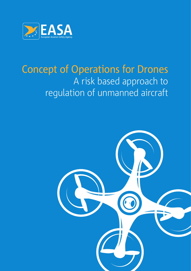

### Concept of Operations for Drones A risk based approach to regulation of unmanned aircraft

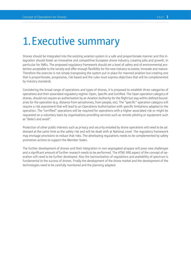### 1.Executive summary

Drones should be integrated into the existing aviation system in a safe and proportionate manner and this integration should foster an innovative and competitive European drone industry, creating jobs and growth, in particular for SMEs. The proposed regulatory framework should set a level of safety and of environmental protection acceptable to the society and offer enough flexibility for the new industry to evolve, innovate and mature. Therefore the exercise is not simply transposing the system put in place for manned aviation but creating one that is proportionate, progressive, risk based and the rules must express objectives that will be complemented by industry standards.

Considering the broad range of operations and types of drones, it is proposed to establish three categories of operations and their associated regulatory regime: Open, Specific and Certified. The Open operation category of drones, should not require an authorisation by an Aviation Authority for the flight but stay within defined boundaries for the operation (e.g. distance from aerodromes, from people, etc). The "specific" operation category will require a risk assessment that will lead to an Operations Authorisation with specific limitations adapted to the operation. The "certified" operations will be required for operations with a higher associated risk or might be requested on a voluntary basis by organisations providing services such as remote piloting or equipment such as "detect and avoid".

Protection of other public interests such as privacy and security entailed by drone operations will need to be addressed at the same time as the safety risk and will be dealt with at National Level. The regulatory framework may envisage provisions to reduce that risks. The developing regulations needs to be complemented by safety promotion actions to support the Member States.

The further development of drones and their integration in non-segregated airspace will pose new challenges and a significant amount of further research needs to be performed. The ATM/ ANS aspect of the concept of operation will need to be further developed. Also the harmonization of regulations and availability of spectrum is fundamental to the success of drones. Finally the development of the drone market and the development of the technologies need to be carefully monitored and the planning adapted.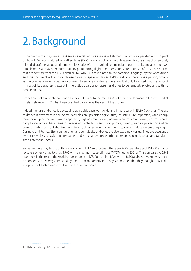## 2.Background

Unmanned aircraft systems (UAS) are an aircraft and its associated elements which are operated with no pilot on board. Remotely piloted aircraft systems (RPAS) are a set of configurable elements consisting of a remotely piloted aircraft, its associated remote pilot station(s), the required command and control links and any other system elements as may be required , at any point during flight operations. RPAS are a sub-set of UAS. These terms that are coming from the ICAO circular 328-AN/190 are replaced in the common language by the word drone and this document will accordingly use drones to speak of UAS and RPAS. A drone operator is a person, organization or enterprise engaged in, or offering to engage in a drone operation. It should be noted that this concept in most of its paragraphs except in the outlook paragraph assumes drones to be remotely piloted and with no people on board.

Drones are not a new phenomenon as they date back to the mid-1800 but their development in the civil market is relatively recent. 2013 has been qualified by some as the year of the drones.

Indeed, the use of drones is developing at a quick pace worldwide and in particular in EASA Countries. The use of drones is extremely varied. Some examples are: precision agriculture, infrastructure inspection, wind energy monitoring, pipeline and power inspection, highway monitoring, natural resources monitoring, environmental compliance, atmospheric research, media and entertainment, sport photos, filming, wildlife protection and research, hunting and anti-hunting monitoring, disaster relief. Experiments to carry small cargo are on-going in Germany and France. Size, configuration and complexity of drones are also extremely varied. They are developed by not only classical aviation companies and but also by non-aviation companies, usually Small and Mediumsized Enterprises (SME).

Some numbers may testify of this development. In EASA countries, there are 2495 operators and 114 RPAS manufacturers of very small to small RPAS with a maximum take-off mass (MTOM) up to 150kg. This compares to 2342 operators in the rest of the world (2000 in Japan only) 1 . Concerning RPAS with a MTOM above 150 kg, 76% of the respondents to a survey conducted by the European Commission last year indicated that they thought a swift development of such drones was likely in the coming years.

<sup>1</sup> Data provided by UVS international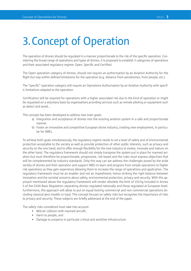# 3.Concept of Operation

The operation of drones should be regulated in a manner proportionate to the risk of the specific operation. Considering the broad range of operations and types of drones, it is proposed to establish 3 categories of operations and their associated regulatory regime: Open, Specific and Certified.

The Open operation category of drones, should not require an authorisation by an Aviation Authority for the flight but stay within defined limitations for the operation (e.g. distance from aerodromes, from people, etc.).

The "specific" operation category will require an Operations Authorisation by an Aviation Authority with specific limitations adapted to the operation.

Certification will be required for operations with a higher associated risk due to the kind of operation or might be requested on a voluntary basis by organisations providing services such as remote piloting or equipment such as detect and avoid...

This concept has been developed to address two main goals:

- a) Integration and acceptance of drones into the existing aviation system in a safe and proportionate manner.
- b) Foster an innovative and competitive European drone industry, creating new employment, in particular for SMEs.

To achieve both goals simultaneously, the regulatory regime needs to set a level of safety and of environmental protection acceptable to the society as well as provide protection of other public interests, such as privacy and security on the one hand, and to offer enough flexibility for the new industry to evolve, innovate and mature on the other hand. The regulatory framework should not simply transpose the system put in place for manned aviation but must therefore be proportionate, progressive, risk based and the rules must express objectives that will be complemented by industry standards. Only this way can we address the challenges posed by the wide variety of drones and their operation and support SMEs to learn and progress from simple operations to higher risk operations as they gain experience allowing them to increase the range of operations and application. The regulatory framework must be an enabler and not an impediment; hence striking the right balance between innovation and the societal concerns about safety, environmental protection, privacy and security. With this approach mentioned above the regulatory framework will render obsolete the limit of 150 kg included in Annex II of the EASA Basic Regulation separating drones regulated nationally and those regulated at European level. Furthermore, this approach will allow to put on equal footing commercial and non-commercial operations (including classical aero models or toys). This concept focuses on safety risks but recognises the importance of risks to privacy and security. These subjects are briefly addressed at the end of the paper.

The safety risks considered must take into account:

- Mid-air collision with manned aircraft,
- Harm to people, and
- Damage to property in particular critical and sensitive infrastructure.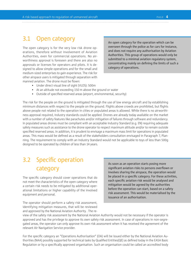#### 3.1 Open category

The open category is for the very low risk drone operations, therefore without involvement of Aviation Authorities, even for commercial operations. No airworthiness approval is foreseen and there are also no approvals or licenses for operators and pilots. It is designed to allow simple operations and for the small and medium-sized enterprises to gain experience. The risk for other airspace users is mitigated through separation with manned aviation. The drone must be flown:

An open category for the operation which can be overseen through the police as for cars for instance, and does not require any authorisation by Aviation Authorities. This group of operations would only be submitted to a minimal aviation regulatory system, concentrating mainly on defining the limits of such a category of operations.

- Under direct visual line of sight (VLOS): 500m
- At an altitude not exceeding 150 m above the ground or water
- Outside of specified reserved areas (airport, environmental, security)

The risk for the people on the ground is mitigated through the use of low energy aircraft and by establishing minimum distances with respect to the people on the ground. Flights above crowds are prohibited, but flights above people not related to the operation in cities or populated areas is allowed. While there is no airworthiness approval required, industry standards could be applied. Drones are already today available on the market with a number of safety features like parachutes and/or mitigation of failures through software and redundancy. In populated areas drones must be compliant with an acceptable Industry Standard (e.g. EN) requiring adequate safety measures such as assistance to the drone operator to respect maximum altitude and/or to remain outside specified reserved areas. In addition, it is prudent to envisage a maximum mass limit for operations in populated areas. This mass would be defined as a result of the stakeholders consultation envisaged in Paragraph 7, Planning. The requirement to comply with an Industry Standard would not be applicable to toys of less than 500g designed to be operated by children of less than 14 years.

### 3.2 Specific operation category

The specific category should cover operations that do not meet the characteristics of the open category where a certain risk needs to be mitigated by additional operational limitations or higher capability of the involved equipment and personal.

The operator should perform a safety risk assessment, identifying mitigation measures, that will be reviewed and approved by the National Aviation Authority . The reAs soon as an operation starts posing more significant aviation risks to persons overflown or involves sharing the airspace, the operation would be placed in a specific category. For these activities, each specific aviation risk would be analysed and mitigation would be agreed by the authorities before the operation can start, based on a safety risk assessment. This would be materialised by the issuance of an authorisation.

view of the safety risk assessment by the National Aviation Authority would not be necessary if the operator is approved and has the privilege to approve its own safety risk assessment. In case of operations in non-segregated areas, the operator can only approve its own risk assessment when it has received the agreement of the relevant Air Navigation Service provider.

For the specific category an "Operations Authorisation" (OA) will be issued either by the National Aviation Authorities (NAA) possibly supported for technical tasks by Qualified Entities(QE) as defined today in the EASA Basic Regulation or by a specifically approved organisation. Such an organisation could be called an accredited body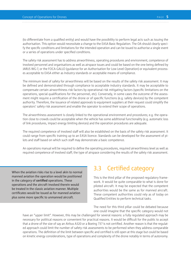(to differentiate from a qualified entity) and would have the possibility to perform legal acts such as issuing the authorisation. This option would necessitate a change to the EASA Basic Regulation. The OA should clearly specify the specific conditions and limitations for the intended operation and can be issued to authorise a single event or a series of operations under specified conditions.

The safety risk assessment has to address airworthiness, operating procedures and environment, competence of involved personnel and organisations as well as airspace issues and could be based on the one being defined by JARUS WG-7, or the FOCA-GALLO (guidance for an Authorisation for Low Level Operation) or equivalent processes acceptable to EASA either as Industry standards or acceptable means of compliance.

The minimum level of safety for airworthiness will be based on the results of the safety risk assessment. It may be defined and demonstrated through compliance to acceptable industry standards. It may be acceptable to compensate certain airworthiness risk factors by operational risk mitigating factors (specific limitations on the operations, special qualifications for the personnel, etc). Conversely, in some cases the outcome of the assessment might require a certification of the drone or of specific functions (e.g. safety devices) by the competent authority. Therefore, the issuance of related approvals to equipment suppliers at their request could simplify the operators' safety risk assessment and enable the operator to extend their scope of operations.

The airworthiness assessment is closely linked to the operational environment and procedures; e.g. the operation close to crowds could be acceptable when the vehicle has some additional functionality (e.g. automatic loss of link procedures, impact energy limiting devices) and the operation procedures are adequate.

The required competence of involved staff will also be established on the basis of the safety risk assessment. It could range from specific training up to an EASA licence. Standards can be developed for the assessment of pilots and staff based on which such staff may demonstrate a basic competence.

An operations manual will be required to define the operating procedures, required airworthiness level as well as required competence of involved staff; the type of airspace considering the results of the safety risk assessment.

When the aviation risks rise to a level akin to normal manned aviation the operation would be positioned in the category of **certified** operations. These operations and the aircraft involved therein would be treated in the classic aviation manner. Multiple certificates would be issued as for manned aviation plus some more specific to unmanned aircraft.

#### 3.3 Certified category

This is the third pillar of the proposed regulatory framework. It would be quite comparable to what is done for piloted aircraft. It may be expected that the competent authorities would be the same as for manned aircraft. These competent authorities could rely as of today on Qualified Entities to perform technical tasks.

The need for this third pillar could be debated because one could imagine that the specific category would not

have an "upper limit". However, this may be challenged for several reasons: a fully regulated approach may be necessary for political reasons or convenient for practical reasons. It would be difficult for the public to accept that a drone of the size of say an Airbus A320 or a Boeing 737 is not certified. Another reason is that the regulated approach could limit the number of safety risk assessments to be performed when they address comparable operations. The definition of the limit between specific and certified is still open at this stage but could be based on kinetic energy considerations, type of operations and complexity of the drone notably in terms of autonomy.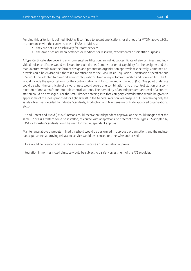Pending this criterion is defined, EASA will continue to accept applications for drones of a MTOM above 150kg in accordance with the current scope of EASA activities i.e.

- they are not used exclusively for 'State' services
- the drone has not been designed or modified for research, experimental or scientific purposes

A Type Certificate also covering environmental certification, an individual certificate of airworthiness and individual noise certificate would be issued for each drone. Demonstration of capability for the designer and the manufacturer would take the form of design and production organisation approvals respectively. Combined approvals could be envisaged if there is a modification to the EASA Basic Regulation. Certification Specifications (CS) would be adopted to cover different configurations: fixed wing, rotorcraft, airship and powered lift. The CS would include the specifications for the control station and for command and control (C2). One point of debate could be what the certificate of airworthiness would cover: one combination aircraft-control station or a combination of one aircraft and multiple control stations. The possibility of an independent approval of a control station could be envisaged. For the small drones entering into that category, consideration would be given to apply some of the ideas proposed for light aircraft in the General Aviation Roadmap (e.g. CS containing only the safety objectives detailed by Industry Standards, Production and Maintenance outside approved organisations, etc…).

C2 and Detect and Avoid (D&A) functions could receive an independent approval as one could imagine that the same C2 or D&A system could be installed, of course with adaptations, to different drone Types. CS adopted by EASA or Industry Standards could be used for that independent approval.

Maintenance above a predetermined threshold would be performed in approved organisations and the maintenance personnel approving release to service would be licenced or otherwise authorised.

Pilots would be licenced and the operator would receive an organisation approval.

Integration in non-restricted airspace would be subject to a safety assessment of the ATS provider.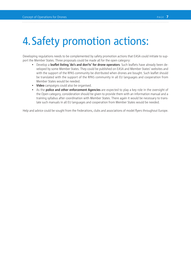# 4.Safety promotion actions:

Developing regulations needs to be complemented by safety promotion actions that EASA could initiate to support the Member States. Three proposals could be made all for the open category:

- Develop a **leaflet listing 'do's and don'ts' for drone operators**. Such leaflets have already been developed by some Member States. They could be published on EASA and Member States' websites and with the support of the RPAS community be distributed when drones are bought. Such leaflet should be translated with the support of the RPAS community in all EU languages and cooperation from Member States would be needed.
- **Video** campaigns could also be organised.
- As the **police and other enforcement Agencies** are expected to play a key role in the oversight of the Open category, consideration should be given to provide them with an information manual and a training syllabus after coordination with Member States. There again it would be necessary to translate such manuals in all EU languages and cooperation from Member States would be needed.

Help and advice could be sought from the Federations, clubs and associations of model flyers throughout Europe.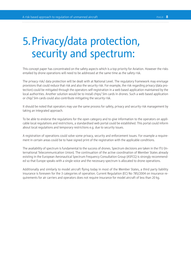### 5.Privacy/data protection, security and spectrum:

This concept paper has concentrated on the safety aspects which is a top priority for Aviation. However the risks entailed by drone operations will need to be addressed at the same time as the safety risk.

The privacy risk/ data protection will be dealt with at National Level. The regulatory framework may envisage provisions that could reduce that risk and also the security risk. For example, the risk regarding privacy (data protection) could be mitigated through the operators self-registration in a web based application maintained by the local authorities. Another solution would be to install chips/ Sim cards in drones. Such a web based application or chip/ Sim cards could also contribute mitigating the security risk.

It should be noted that operators may use the same process for safety, privacy and security risk management by taking an integrated approach.

To be able to endorse the regulations for the open category and to give information to the operators on applicable local regulations and restrictions, a standardised web portal could be established. This portal could inform about local regulations and temporary restrictions e.g. due to security issues.

A registration of operations could solve some privacy, security and enforcement issues. For example a requirement in certain areas could be to have signed print of the registration with the applicable conditions.

The availability of spectrum is fundamental to the success of drones. Spectrum decisions are taken in the ITU (International Telecommunication Union). The continuation of the active coordination of Member States already existing in the European Aeronautical Spectrum Frequency Consultation Group (ASFCG) is strongly recommended so that Europe speaks with a single voice and the necessary spectrum is allocated to drone operations.

Additionally and similarly to model aircraft flying today in most of the Member States, a third party liability insurance is foreseen for the 3 categories of operation. Current Regulation (EC) No 785/2004 on insurance requirements for air carriers and operators does not require insurance for model aircraft of less than 20 kg.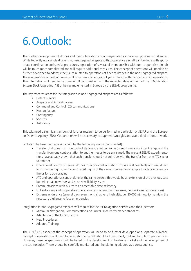# 6.Outlook:

The further development of drones and their integration in non-segregated airspace will pose new challenges. While today flying a single drone in non-segregated airspace with cooperative aircraft can be done with appropriate coordination and special procedures, operation of several of them possibly with non-cooperative aircraft will be much more complicated and will require additional measures. The concept of operations will need to be further developed to address the issues related to operations of fleet of drones in the non-segregated airspace. These operations of fleet of drones will pose new challenges not yet explored with manned aircraft operations. This integration will need to be done in full coordination with the expected development of the ICAO Aviation System Block Upgrades (ASBU) being implemented in Europe by the SESAR programme.

The key research areas for the integration in non-segregated airspace are as follows:

- Detect & avoid
- Airspace and Airports access
- Command and Control (C2) communications
- Human factors
- Contingency
- Security
- Autonomy

This will need a significant amount of further research to be performed in particular by SESAR and the European Defence Agency (EDA). Cooperation will be necessary to augment synergies and avoid duplications of work.

Factors to be taken into account could be the following (non-exhaustive list):

- Transfer of drones from one control station to another: some drones have a significant range and the transfer from one control station to another needs to be envisaged. The present SESAR experimentations have already shown that such transfer should not coincide with the transfer from one ATC sector to another
- Operational Control of several drones from one control station: this is a real possibility and would lead to formation flights, with coordinated flights of the various drones for example to attack efficiently a fire or for crop-spraying
- ATC and operational control done by the same person: this would be an extension of the previous case but will entail new risks and pose new liability issues
- Communications with ATC with an acceptable time of latency
- Full autonomy and cooperative operations (e.g. operation in swarms; network centric operations)
- Extreme endurance (several days even months) at very high altitude (20.000m): how to maintain the necessary vigilance to face emergencies

Integration in non-segregated airspace will require for the Air Navigation Services and the Operators:

- Minimum Navigation, Communication and Surveillance Performance standards
- Adaptation of the Infrastructure
- New Procedures
- Adapted Training

The ATM/ ANS aspect of the concept of operation will need to be further developed or a separate ATM/ANS concept of operations will need to be established which should address short, mid and long term perspectives. However, these perspectives should be based on the development of the drone market and the development of the technologies. These should be carefully monitored and the planning adapted as a consequence.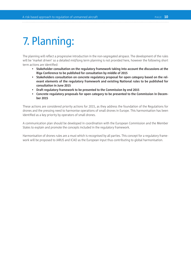# 7. Planning:

The planning will reflect a progressive introduction in the non-segregated airspace. The development of the rules will be 'market driven' so a detailed mid/long term planning is not provided here, however the following short term actions are identified:

- **Stakeholder consultation on the regulatory framework taking into account the discussions at the Riga Conference to be published for consultation by middle of 2015**
- **Stakeholders consultation on concrete regulatory proposal for open category based on the relevant elements of the regulatory framework and existing National rules to be published for consultation in June 2015**
- **Draft regulatory framework to be presented to the Commission by end 2015**
- **Concrete regulatory proposals for open category to be presented to the Commission in December 2015**

These actions are considered priority actions for 2015, as they address the foundation of the Regulations for drones and the pressing need to harmonise operations of small drones in Europe. This harmonisation has been identified as a key priority by operators of small drones.

A communication plan should be developed in coordination with the European Commission and the Member States to explain and promote the concepts included in the regulatory framework.

Harmonisation of drones rules are a must which is recognised by all parties. This concept for a regulatory framework will be proposed to JARUS and ICAO as the European input thus contributing to global harmonisation.